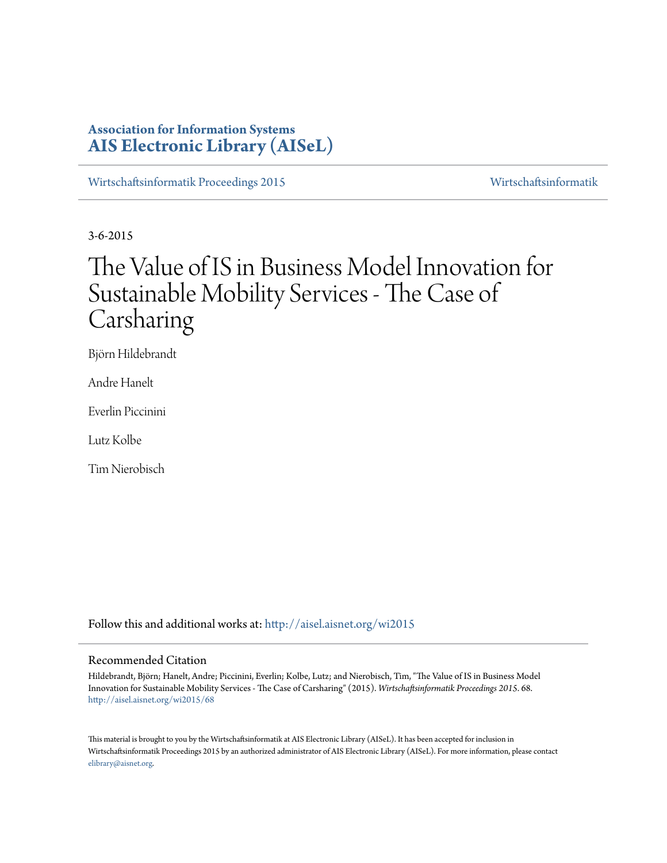# **Association for Information Systems [AIS Electronic Library \(AISeL\)](http://aisel.aisnet.org?utm_source=aisel.aisnet.org%2Fwi2015%2F68&utm_medium=PDF&utm_campaign=PDFCoverPages)**

[Wirtschaftsinformatik Proceedings 2015](http://aisel.aisnet.org/wi2015?utm_source=aisel.aisnet.org%2Fwi2015%2F68&utm_medium=PDF&utm_campaign=PDFCoverPages) [Wirtschaftsinformatik](http://aisel.aisnet.org/wi?utm_source=aisel.aisnet.org%2Fwi2015%2F68&utm_medium=PDF&utm_campaign=PDFCoverPages)

3-6-2015

# The Value of IS in Business Model Innovation for Sustainable Mobility Services - The Case of Carsharing

Björn Hildebrandt

Andre Hanelt

Everlin Piccinini

Lutz Kolbe

Tim Nierobisch

Follow this and additional works at: [http://aisel.aisnet.org/wi2015](http://aisel.aisnet.org/wi2015?utm_source=aisel.aisnet.org%2Fwi2015%2F68&utm_medium=PDF&utm_campaign=PDFCoverPages)

#### Recommended Citation

Hildebrandt, Björn; Hanelt, Andre; Piccinini, Everlin; Kolbe, Lutz; and Nierobisch, Tim, "The Value of IS in Business Model Innovation for Sustainable Mobility Services - The Case of Carsharing" (2015). *Wirtschaftsinformatik Proceedings 2015*. 68. [http://aisel.aisnet.org/wi2015/68](http://aisel.aisnet.org/wi2015/68?utm_source=aisel.aisnet.org%2Fwi2015%2F68&utm_medium=PDF&utm_campaign=PDFCoverPages)

This material is brought to you by the Wirtschaftsinformatik at AIS Electronic Library (AISeL). It has been accepted for inclusion in Wirtschaftsinformatik Proceedings 2015 by an authorized administrator of AIS Electronic Library (AISeL). For more information, please contact [elibrary@aisnet.org.](mailto:elibrary@aisnet.org%3E)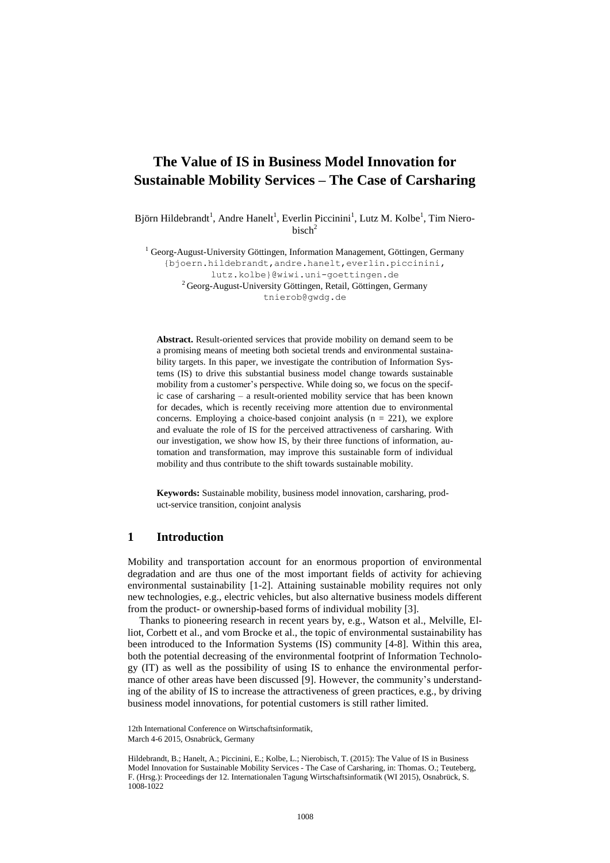## **The Value of IS in Business Model Innovation for Sustainable Mobility Services – The Case of Carsharing**

Björn Hildebrandt<sup>1</sup>, Andre Hanelt<sup>1</sup>, Everlin Piccinini<sup>1</sup>, Lutz M. Kolbe<sup>1</sup>, Tim Niero $bisch<sup>2</sup>$ 

<sup>1</sup> Georg-August-University Göttingen, Information Management, Göttingen, Germany

{bjoern.hildebrandt,andre.hanelt,everlin.piccinini, lutz.kolbe}@wiwi.uni-goettingen.de <sup>2</sup> Georg-August-University Göttingen, Retail, Göttingen, Germany tnierob@gwdg.de

**Abstract.** Result-oriented services that provide mobility on demand seem to be a promising means of meeting both societal trends and environmental sustainability targets. In this paper, we investigate the contribution of Information Systems (IS) to drive this substantial business model change towards sustainable mobility from a customer's perspective. While doing so, we focus on the specific case of carsharing – a result-oriented mobility service that has been known for decades, which is recently receiving more attention due to environmental concerns. Employing a choice-based conjoint analysis ( $n = 221$ ), we explore and evaluate the role of IS for the perceived attractiveness of carsharing. With our investigation, we show how IS, by their three functions of information, automation and transformation, may improve this sustainable form of individual mobility and thus contribute to the shift towards sustainable mobility.

**Keywords:** Sustainable mobility, business model innovation, carsharing, product-service transition, conjoint analysis

## **1 Introduction**

Mobility and transportation account for an enormous proportion of environmental degradation and are thus one of the most important fields of activity for achieving environmental sustainability [1-2]. Attaining sustainable mobility requires not only new technologies, e.g., electric vehicles, but also alternative business models different from the product- or ownership-based forms of individual mobility [3].

Thanks to pioneering research in recent years by, e.g., Watson et al., Melville, Elliot, Corbett et al., and vom Brocke et al., the topic of environmental sustainability has been introduced to the Information Systems (IS) community [4-8]. Within this area, both the potential decreasing of the environmental footprint of Information Technology (IT) as well as the possibility of using IS to enhance the environmental performance of other areas have been discussed [9]. However, the community's understanding of the ability of IS to increase the attractiveness of green practices, e.g., by driving business model innovations, for potential customers is still rather limited.

<sup>12</sup>th International Conference on Wirtschaftsinformatik, March 4-6 2015, Osnabrück, Germany

Hildebrandt, B.; Hanelt, A.; Piccinini, E.; Kolbe, L.; Nierobisch, T. (2015): The Value of IS in Business Model Innovation for Sustainable Mobility Services - The Case of Carsharing, in: Thomas. O.; Teuteberg, F. (Hrsg.): Proceedings der 12. Internationalen Tagung Wirtschaftsinformatik (WI 2015), Osnabrück, S. 1008-1022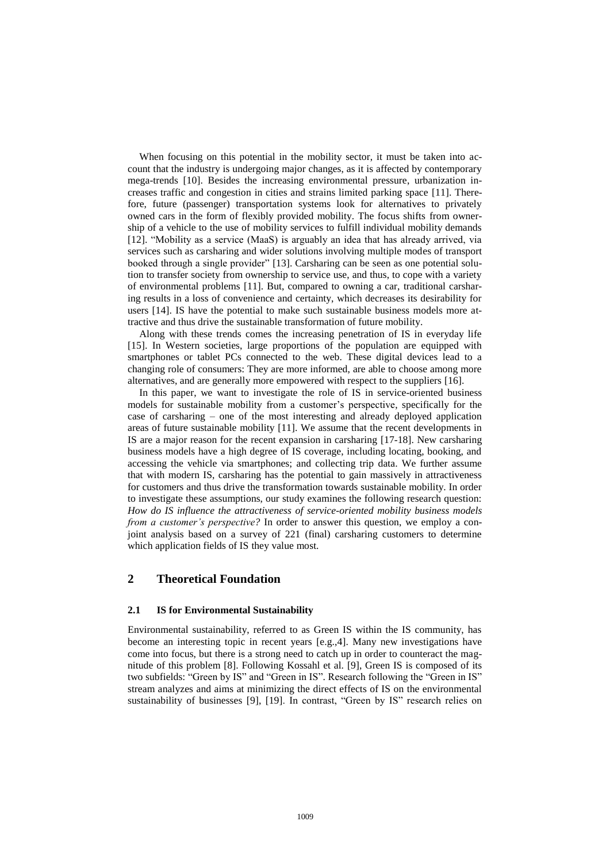When focusing on this potential in the mobility sector, it must be taken into account that the industry is undergoing major changes, as it is affected by contemporary mega-trends [10]. Besides the increasing environmental pressure, urbanization increases traffic and congestion in cities and strains limited parking space [11]. Therefore, future (passenger) transportation systems look for alternatives to privately owned cars in the form of flexibly provided mobility. The focus shifts from ownership of a vehicle to the use of mobility services to fulfill individual mobility demands [12]. "Mobility as a service (MaaS) is arguably an idea that has already arrived, via services such as carsharing and wider solutions involving multiple modes of transport booked through a single provider" [13]. Carsharing can be seen as one potential solution to transfer society from ownership to service use, and thus, to cope with a variety of environmental problems [11]. But, compared to owning a car, traditional carsharing results in a loss of convenience and certainty, which decreases its desirability for users [14]. IS have the potential to make such sustainable business models more attractive and thus drive the sustainable transformation of future mobility.

Along with these trends comes the increasing penetration of IS in everyday life [15]. In Western societies, large proportions of the population are equipped with smartphones or tablet PCs connected to the web. These digital devices lead to a changing role of consumers: They are more informed, are able to choose among more alternatives, and are generally more empowered with respect to the suppliers [16].

In this paper, we want to investigate the role of IS in service-oriented business models for sustainable mobility from a customer's perspective, specifically for the case of carsharing – one of the most interesting and already deployed application areas of future sustainable mobility [11]. We assume that the recent developments in IS are a major reason for the recent expansion in carsharing [17-18]. New carsharing business models have a high degree of IS coverage, including locating, booking, and accessing the vehicle via smartphones; and collecting trip data. We further assume that with modern IS, carsharing has the potential to gain massively in attractiveness for customers and thus drive the transformation towards sustainable mobility. In order to investigate these assumptions, our study examines the following research question: *How do IS influence the attractiveness of service-oriented mobility business models from a customer's perspective?* In order to answer this question, we employ a conjoint analysis based on a survey of 221 (final) carsharing customers to determine which application fields of IS they value most.

## **2 Theoretical Foundation**

#### **2.1 IS for Environmental Sustainability**

Environmental sustainability, referred to as Green IS within the IS community, has become an interesting topic in recent years [e.g.,4]. Many new investigations have come into focus, but there is a strong need to catch up in order to counteract the magnitude of this problem [8]. Following Kossahl et al. [9], Green IS is composed of its two subfields: "Green by IS" and "Green in IS". Research following the "Green in IS" stream analyzes and aims at minimizing the direct effects of IS on the environmental sustainability of businesses [9], [19]. In contrast, "Green by IS" research relies on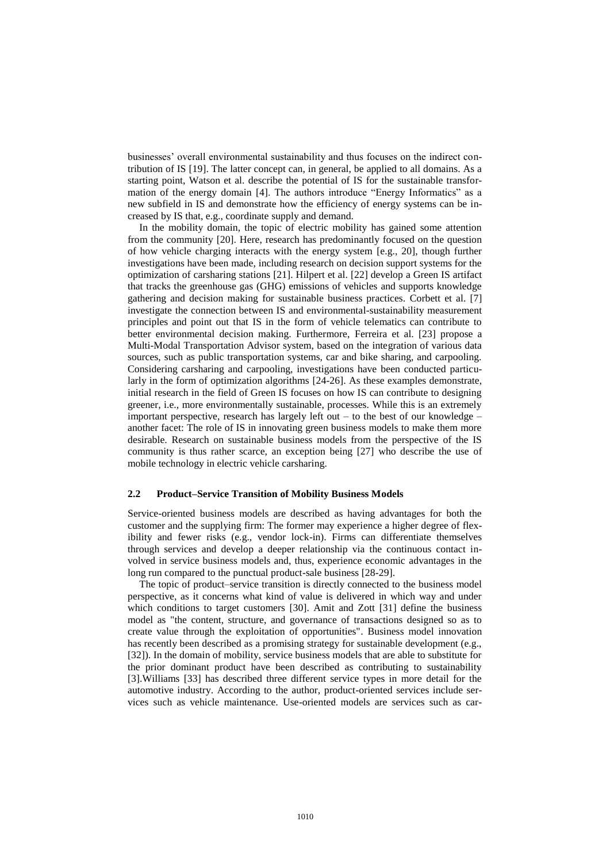businesses' overall environmental sustainability and thus focuses on the indirect contribution of IS [19]. The latter concept can, in general, be applied to all domains. As a starting point, Watson et al. describe the potential of IS for the sustainable transformation of the energy domain [4]. The authors introduce "Energy Informatics" as a new subfield in IS and demonstrate how the efficiency of energy systems can be increased by IS that, e.g., coordinate supply and demand.

In the mobility domain, the topic of electric mobility has gained some attention from the community [20]. Here, research has predominantly focused on the question of how vehicle charging interacts with the energy system [e.g., 20], though further investigations have been made, including research on decision support systems for the optimization of carsharing stations [21]. Hilpert et al. [22] develop a Green IS artifact that tracks the greenhouse gas (GHG) emissions of vehicles and supports knowledge gathering and decision making for sustainable business practices. Corbett et al. [7] investigate the connection between IS and environmental-sustainability measurement principles and point out that IS in the form of vehicle telematics can contribute to better environmental decision making. Furthermore, Ferreira et al. [23] propose a Multi-Modal Transportation Advisor system, based on the integration of various data sources, such as public transportation systems, car and bike sharing, and carpooling. Considering carsharing and carpooling, investigations have been conducted particularly in the form of optimization algorithms [24-26]. As these examples demonstrate, initial research in the field of Green IS focuses on how IS can contribute to designing greener, i.e., more environmentally sustainable, processes. While this is an extremely important perspective, research has largely left out  $-$  to the best of our knowledge  $$ another facet: The role of IS in innovating green business models to make them more desirable. Research on sustainable business models from the perspective of the IS community is thus rather scarce, an exception being [27] who describe the use of mobile technology in electric vehicle carsharing.

#### **2.2 Product–Service Transition of Mobility Business Models**

Service-oriented business models are described as having advantages for both the customer and the supplying firm: The former may experience a higher degree of flexibility and fewer risks (e.g., vendor lock-in). Firms can differentiate themselves through services and develop a deeper relationship via the continuous contact involved in service business models and, thus, experience economic advantages in the long run compared to the punctual product-sale business [28-29].

The topic of product–service transition is directly connected to the business model perspective, as it concerns what kind of value is delivered in which way and under which conditions to target customers [30]. Amit and Zott [31] define the business model as "the content, structure, and governance of transactions designed so as to create value through the exploitation of opportunities". Business model innovation has recently been described as a promising strategy for sustainable development (e.g., [32]). In the domain of mobility, service business models that are able to substitute for the prior dominant product have been described as contributing to sustainability [3].Williams [33] has described three different service types in more detail for the automotive industry. According to the author, product-oriented services include services such as vehicle maintenance. Use-oriented models are services such as car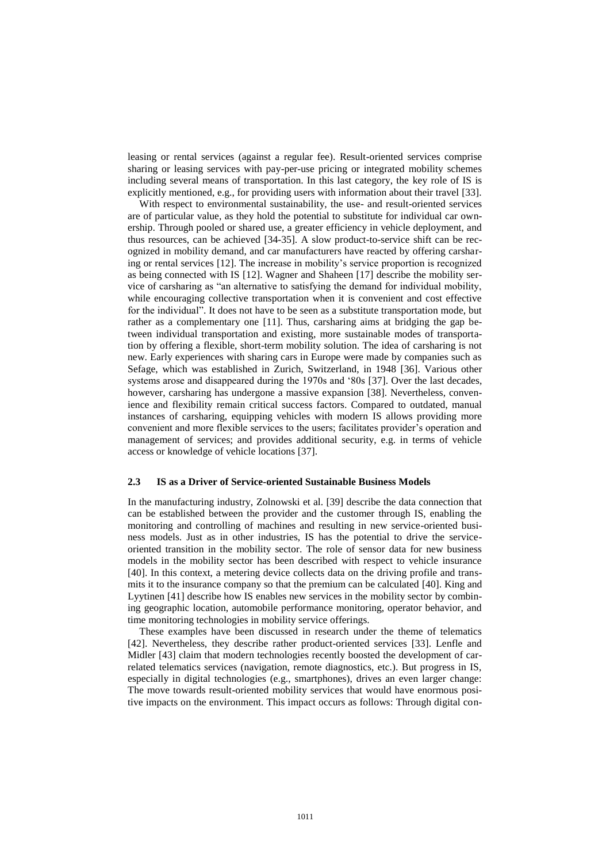leasing or rental services (against a regular fee). Result-oriented services comprise sharing or leasing services with pay-per-use pricing or integrated mobility schemes including several means of transportation. In this last category, the key role of IS is explicitly mentioned, e.g., for providing users with information about their travel [33].

With respect to environmental sustainability, the use- and result-oriented services are of particular value, as they hold the potential to substitute for individual car ownership. Through pooled or shared use, a greater efficiency in vehicle deployment, and thus resources, can be achieved [34-35]. A slow product-to-service shift can be recognized in mobility demand, and car manufacturers have reacted by offering carsharing or rental services [12]. The increase in mobility's service proportion is recognized as being connected with IS [12]. Wagner and Shaheen [17] describe the mobility service of carsharing as "an alternative to satisfying the demand for individual mobility, while encouraging collective transportation when it is convenient and cost effective for the individual". It does not have to be seen as a substitute transportation mode, but rather as a complementary one [11]. Thus, carsharing aims at bridging the gap between individual transportation and existing, more sustainable modes of transportation by offering a flexible, short-term mobility solution. The idea of carsharing is not new. Early experiences with sharing cars in Europe were made by companies such as Sefage, which was established in Zurich, Switzerland, in 1948 [36]. Various other systems arose and disappeared during the 1970s and '80s [37]. Over the last decades, however, carsharing has undergone a massive expansion [38]. Nevertheless, convenience and flexibility remain critical success factors. Compared to outdated, manual instances of carsharing, equipping vehicles with modern IS allows providing more convenient and more flexible services to the users; facilitates provider's operation and management of services; and provides additional security, e.g. in terms of vehicle access or knowledge of vehicle locations [37].

#### **2.3 IS as a Driver of Service-oriented Sustainable Business Models**

In the manufacturing industry, Zolnowski et al. [39] describe the data connection that can be established between the provider and the customer through IS, enabling the monitoring and controlling of machines and resulting in new service-oriented business models. Just as in other industries, IS has the potential to drive the serviceoriented transition in the mobility sector. The role of sensor data for new business models in the mobility sector has been described with respect to vehicle insurance [40]. In this context, a metering device collects data on the driving profile and transmits it to the insurance company so that the premium can be calculated [40]. King and Lyytinen [41] describe how IS enables new services in the mobility sector by combining geographic location, automobile performance monitoring, operator behavior, and time monitoring technologies in mobility service offerings.

These examples have been discussed in research under the theme of telematics [42]. Nevertheless, they describe rather product-oriented services [33]. Lenfle and Midler [43] claim that modern technologies recently boosted the development of carrelated telematics services (navigation, remote diagnostics, etc.). But progress in IS, especially in digital technologies (e.g., smartphones), drives an even larger change: The move towards result-oriented mobility services that would have enormous positive impacts on the environment. This impact occurs as follows: Through digital con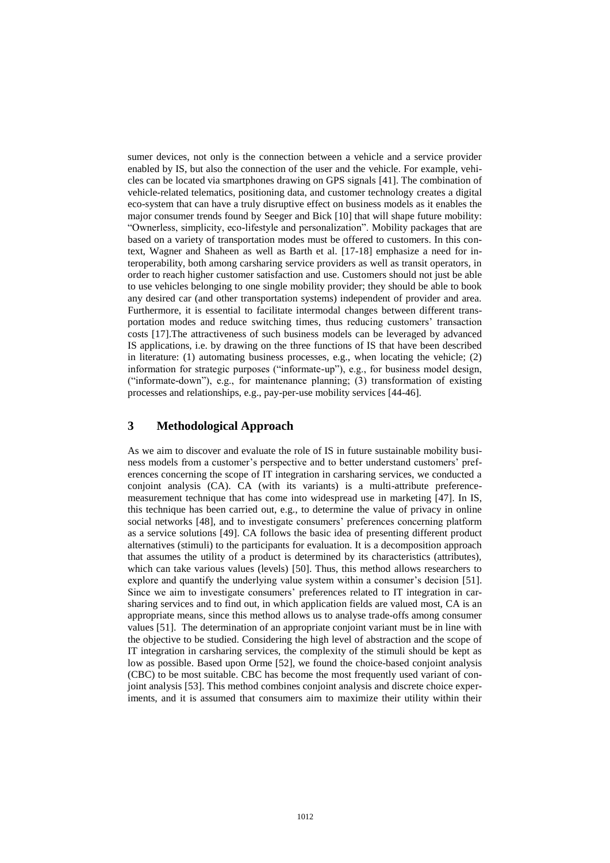sumer devices, not only is the connection between a vehicle and a service provider enabled by IS, but also the connection of the user and the vehicle. For example, vehicles can be located via smartphones drawing on GPS signals [41]. The combination of vehicle-related telematics, positioning data, and customer technology creates a digital eco-system that can have a truly disruptive effect on business models as it enables the major consumer trends found by Seeger and Bick [10] that will shape future mobility: "Ownerless, simplicity, eco-lifestyle and personalization". Mobility packages that are based on a variety of transportation modes must be offered to customers. In this context, Wagner and Shaheen as well as Barth et al. [17-18] emphasize a need for interoperability, both among carsharing service providers as well as transit operators, in order to reach higher customer satisfaction and use. Customers should not just be able to use vehicles belonging to one single mobility provider; they should be able to book any desired car (and other transportation systems) independent of provider and area. Furthermore, it is essential to facilitate intermodal changes between different transportation modes and reduce switching times, thus reducing customers' transaction costs [17].The attractiveness of such business models can be leveraged by advanced IS applications, i.e. by drawing on the three functions of IS that have been described in literature: (1) automating business processes, e.g., when locating the vehicle; (2) information for strategic purposes ("informate-up"), e.g., for business model design, ("informate-down"), e.g., for maintenance planning; (3) transformation of existing processes and relationships, e.g., pay-per-use mobility services [44-46].

## **3 Methodological Approach**

As we aim to discover and evaluate the role of IS in future sustainable mobility business models from a customer's perspective and to better understand customers' preferences concerning the scope of IT integration in carsharing services, we conducted a conjoint analysis (CA). CA (with its variants) is a multi-attribute preferencemeasurement technique that has come into widespread use in marketing [47]. In IS, this technique has been carried out, e.g., to determine the value of privacy in online social networks [48], and to investigate consumers' preferences concerning platform as a service solutions [49]. CA follows the basic idea of presenting different product alternatives (stimuli) to the participants for evaluation. It is a decomposition approach that assumes the utility of a product is determined by its characteristics (attributes), which can take various values (levels) [50]. Thus, this method allows researchers to explore and quantify the underlying value system within a consumer's decision [51]. Since we aim to investigate consumers' preferences related to IT integration in carsharing services and to find out, in which application fields are valued most, CA is an appropriate means, since this method allows us to analyse trade-offs among consumer values [51]. The determination of an appropriate conjoint variant must be in line with the objective to be studied. Considering the high level of abstraction and the scope of IT integration in carsharing services, the complexity of the stimuli should be kept as low as possible. Based upon Orme [52], we found the choice-based conjoint analysis (CBC) to be most suitable. CBC has become the most frequently used variant of conjoint analysis [53]. This method combines conjoint analysis and discrete choice experiments, and it is assumed that consumers aim to maximize their utility within their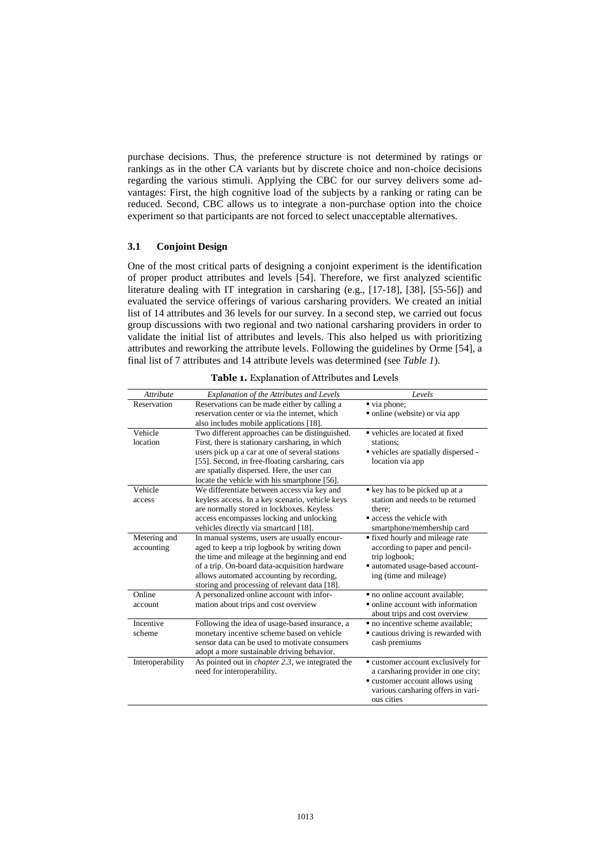purchase decisions. Thus, the preference structure is not determined by ratings or rankings as in the other CA variants but by discrete choice and non-choice decisions regarding the various stimuli. Applying the CBC for our survey delivers some advantages: First, the high cognitive load of the subjects by a ranking or rating can be reduced. Second, CBC allows us to integrate a non-purchase option into the choice experiment so that participants are not forced to select unacceptable alternatives.

#### **3.1 Conjoint Design**

One of the most critical parts of designing a conjoint experiment is the identification of proper product attributes and levels [54]. Therefore, we first analyzed scientific literature dealing with IT integration in carsharing (e.g., [17-18], [38], [55-56]) and evaluated the service offerings of various carsharing providers. We created an initial list of 14 attributes and 36 levels for our survey. In a second step, we carried out focus group discussions with two regional and two national carsharing providers in order to validate the initial list of attributes and levels. This also helped us with prioritizing attributes and reworking the attribute levels. Following the guidelines by Orme [54], a final list of 7 attributes and 14 attribute levels was determined (see *Table 1*).

| <b>Attribute</b> | Explanation of the Attributes and Levels                | Levels                               |
|------------------|---------------------------------------------------------|--------------------------------------|
| Reservation      | Reservations can be made either by calling a            | via phone;                           |
|                  | reservation center or via the internet, which           | • online (website) or via app        |
|                  | also includes mobile applications [18].                 |                                      |
| Vehicle          | Two different approaches can be distinguished.          | vehicles are located at fixed        |
| location         | First, there is stationary carsharing, in which         | stations:                            |
|                  | users pick up a car at one of several stations          | • vehicles are spatially dispersed - |
|                  | [55]. Second, in free-floating carsharing, cars         | location via app                     |
|                  | are spatially dispersed. Here, the user can             |                                      |
|                  | locate the vehicle with his smartphone [56].            |                                      |
| Vehicle          | We differentiate between access via key and             | key has to be picked up at a         |
| access           | keyless access. In a key scenario, vehicle keys         | station and needs to be returned     |
|                  | are normally stored in lockboxes. Keyless               | there:                               |
|                  | access encompasses locking and unlocking                | access the vehicle with              |
|                  | vehicles directly via smartcard [18].                   | smartphone/membership card           |
| Metering and     | In manual systems, users are usually encour-            | • fixed hourly and mileage rate      |
| accounting       | aged to keep a trip logbook by writing down             | according to paper and pencil-       |
|                  | the time and mileage at the beginning and end           | trip logbook;                        |
|                  | of a trip. On-board data-acquisition hardware           | automated usage-based account-       |
|                  | allows automated accounting by recording,               | ing (time and mileage)               |
|                  | storing and processing of relevant data [18].           |                                      |
| Online           | A personalized online account with infor-               | • no online account available;       |
| account          | mation about trips and cost overview                    | • online account with information    |
|                  |                                                         | about trips and cost overview        |
| Incentive        | Following the idea of usage-based insurance, a          | · no incentive scheme available;     |
| scheme           | monetary incentive scheme based on vehicle              | • cautious driving is rewarded with  |
|                  | sensor data can be used to motivate consumers           | cash premiums                        |
|                  | adopt a more sustainable driving behavior.              |                                      |
| Interoperability | As pointed out in <i>chapter</i> 2.3, we integrated the | • customer account exclusively for   |
|                  | need for interoperability.                              | a carsharing provider in one city;   |
|                  |                                                         | • customer account allows using      |
|                  |                                                         | various carsharing offers in vari-   |
|                  |                                                         | ous cities                           |

**Table 1.** Explanation of Attributes and Levels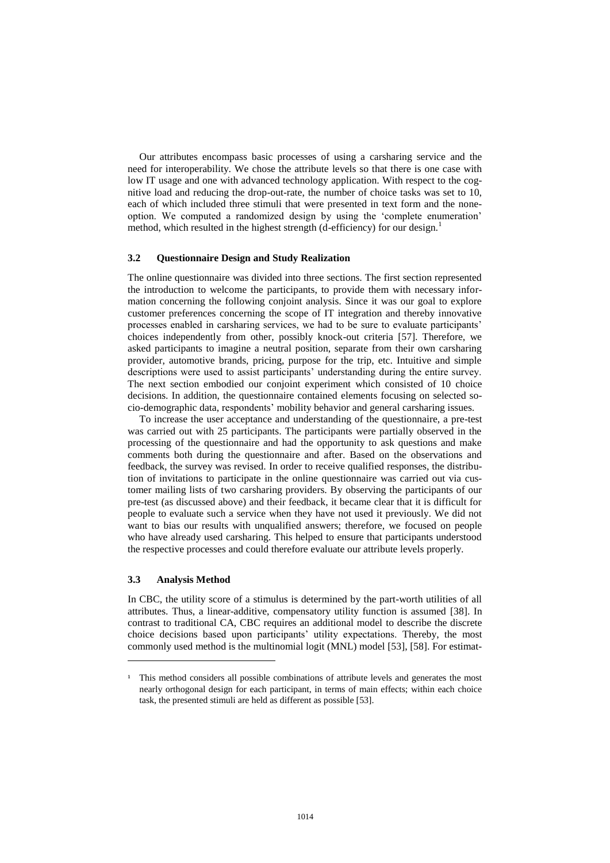Our attributes encompass basic processes of using a carsharing service and the need for interoperability. We chose the attribute levels so that there is one case with low IT usage and one with advanced technology application. With respect to the cognitive load and reducing the drop-out-rate, the number of choice tasks was set to 10, each of which included three stimuli that were presented in text form and the noneoption. We computed a randomized design by using the 'complete enumeration' method, which resulted in the highest strength (d-efficiency) for our design.<sup>1</sup>

#### **3.2 Questionnaire Design and Study Realization**

The online questionnaire was divided into three sections. The first section represented the introduction to welcome the participants, to provide them with necessary information concerning the following conjoint analysis. Since it was our goal to explore customer preferences concerning the scope of IT integration and thereby innovative processes enabled in carsharing services, we had to be sure to evaluate participants' choices independently from other, possibly knock-out criteria [57]. Therefore, we asked participants to imagine a neutral position, separate from their own carsharing provider, automotive brands, pricing, purpose for the trip, etc. Intuitive and simple descriptions were used to assist participants' understanding during the entire survey. The next section embodied our conjoint experiment which consisted of 10 choice decisions. In addition, the questionnaire contained elements focusing on selected socio-demographic data, respondents' mobility behavior and general carsharing issues.

To increase the user acceptance and understanding of the questionnaire, a pre-test was carried out with 25 participants. The participants were partially observed in the processing of the questionnaire and had the opportunity to ask questions and make comments both during the questionnaire and after. Based on the observations and feedback, the survey was revised. In order to receive qualified responses, the distribution of invitations to participate in the online questionnaire was carried out via customer mailing lists of two carsharing providers. By observing the participants of our pre-test (as discussed above) and their feedback, it became clear that it is difficult for people to evaluate such a service when they have not used it previously. We did not want to bias our results with unqualified answers; therefore, we focused on people who have already used carsharing. This helped to ensure that participants understood the respective processes and could therefore evaluate our attribute levels properly.

#### **3.3 Analysis Method**

 $\overline{a}$ 

In CBC, the utility score of a stimulus is determined by the part-worth utilities of all attributes. Thus, a linear-additive, compensatory utility function is assumed [38]. In contrast to traditional CA, CBC requires an additional model to describe the discrete choice decisions based upon participants' utility expectations. Thereby, the most commonly used method is the multinomial logit (MNL) model [53], [58]. For estimat-

<sup>&</sup>lt;sup>1</sup> This method considers all possible combinations of attribute levels and generates the most nearly orthogonal design for each participant, in terms of main effects; within each choice task, the presented stimuli are held as different as possible [53].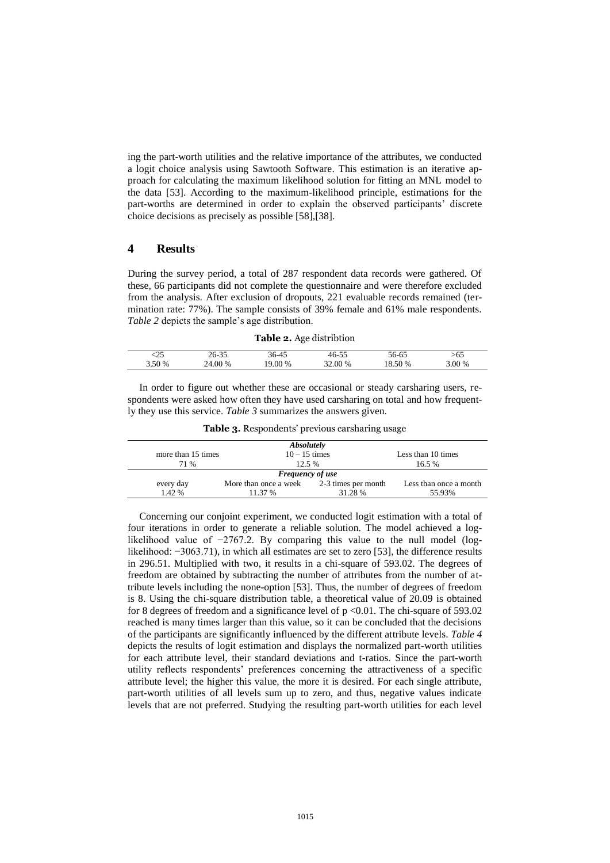ing the part-worth utilities and the relative importance of the attributes, we conducted a logit choice analysis using Sawtooth Software. This estimation is an iterative approach for calculating the maximum likelihood solution for fitting an MNL model to the data [53]. According to the maximum-likelihood principle, estimations for the part-worths are determined in order to explain the observed participants' discrete choice decisions as precisely as possible [58],[38].

### **4 Results**

During the survey period, a total of 287 respondent data records were gathered. Of these, 66 participants did not complete the questionnaire and were therefore excluded from the analysis. After exclusion of dropouts, 221 evaluable records remained (termination rate: 77%). The sample consists of 39% female and 61% male respondents. *Table 2* depicts the sample's age distribution.

| Table 2. Age distribtion |  |
|--------------------------|--|
|--------------------------|--|

| ل کہ   | 26-35   | 36-45  | 46-55   | 56-65   | -65    |
|--------|---------|--------|---------|---------|--------|
| 3.50 % | 24.00 % | 9.00 % | 32.00 % | 18.50 % | 3.00 % |
|        |         |        |         |         |        |

In order to figure out whether these are occasional or steady carsharing users, respondents were asked how often they have used carsharing on total and how frequently they use this service. *Table 3* summarizes the answers given.

| <b>Absolutely</b>       |                                           |         |                        |  |  |
|-------------------------|-------------------------------------------|---------|------------------------|--|--|
| more than 15 times      | $10 - 15$ times                           |         | Less than 10 times     |  |  |
| 71 %                    | 12.5%                                     |         | 16.5 %                 |  |  |
| <b>Frequency of use</b> |                                           |         |                        |  |  |
| every day               | More than once a week 2-3 times per month |         | Less than once a month |  |  |
| 1.42 %                  | 11.37 %                                   | 31.28 % | 55.93%                 |  |  |

**Table 3.** Respondents' previous carsharing usage

Concerning our conjoint experiment, we conducted logit estimation with a total of four iterations in order to generate a reliable solution. The model achieved a loglikelihood value of −2767.2. By comparing this value to the null model (loglikelihood: −3063.71), in which all estimates are set to zero [53], the difference results in 296.51. Multiplied with two, it results in a chi-square of 593.02. The degrees of freedom are obtained by subtracting the number of attributes from the number of attribute levels including the none-option [53]. Thus, the number of degrees of freedom is 8. Using the chi-square distribution table, a theoretical value of 20.09 is obtained for 8 degrees of freedom and a significance level of  $p < 0.01$ . The chi-square of 593.02 reached is many times larger than this value, so it can be concluded that the decisions of the participants are significantly influenced by the different attribute levels. *Table 4* depicts the results of logit estimation and displays the normalized part-worth utilities for each attribute level, their standard deviations and t-ratios. Since the part-worth utility reflects respondents' preferences concerning the attractiveness of a specific attribute level; the higher this value, the more it is desired. For each single attribute, part-worth utilities of all levels sum up to zero, and thus, negative values indicate levels that are not preferred. Studying the resulting part-worth utilities for each level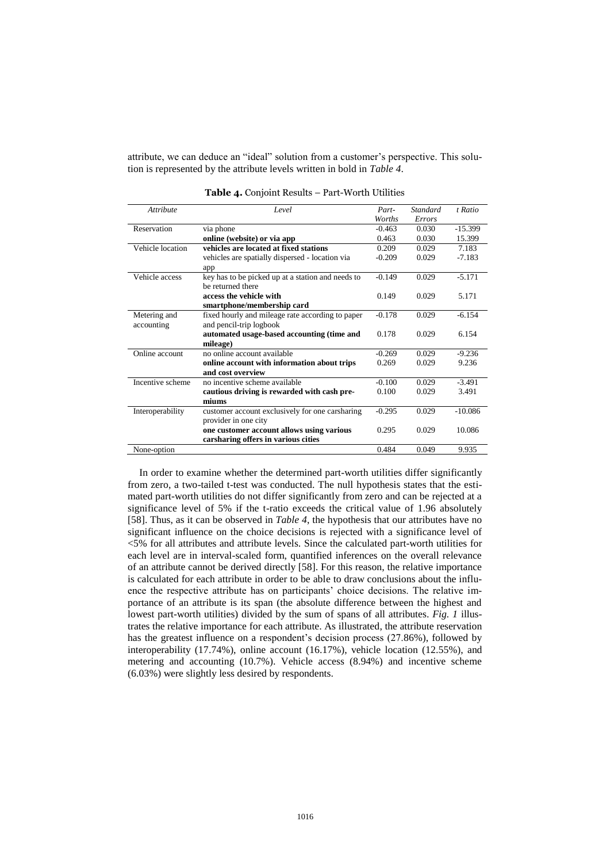attribute, we can deduce an "ideal" solution from a customer's perspective. This solution is represented by the attribute levels written in bold in *Table 4*.

| Attribute        | Level                                             | Part-    | <b>Standard</b> | t Ratio   |
|------------------|---------------------------------------------------|----------|-----------------|-----------|
|                  |                                                   | Worths   | Errors          |           |
| Reservation      | via phone                                         | $-0.463$ | 0.030           | $-15.399$ |
|                  | online (website) or via app                       | 0.463    | 0.030           | 15.399    |
| Vehicle location | vehicles are located at fixed stations            | 0.209    | 0.029           | 7.183     |
|                  | vehicles are spatially dispersed - location via   | $-0.209$ | 0.029           | $-7.183$  |
|                  | app                                               |          |                 |           |
| Vehicle access   | key has to be picked up at a station and needs to | $-0.149$ | 0.029           | $-5.171$  |
|                  | be returned there                                 |          |                 |           |
|                  | access the vehicle with                           | 0.149    | 0.029           | 5.171     |
|                  | smartphone/membership card                        |          |                 |           |
| Metering and     | fixed hourly and mileage rate according to paper  | $-0.178$ | 0.029           | $-6.154$  |
| accounting       | and pencil-trip logbook                           |          |                 |           |
|                  | automated usage-based accounting (time and        | 0.178    | 0.029           | 6.154     |
|                  | mileage)                                          |          |                 |           |
| Online account   | no online account available                       | $-0.269$ | 0.029           | $-9.236$  |
|                  | online account with information about trips       | 0.269    | 0.029           | 9.236     |
|                  | and cost overview                                 |          |                 |           |
| Incentive scheme | no incentive scheme available                     | $-0.100$ | 0.029           | $-3.491$  |
|                  | cautious driving is rewarded with cash pre-       | 0.100    | 0.029           | 3.491     |
|                  | miums                                             |          |                 |           |
| Interoperability | customer account exclusively for one carsharing   | $-0.295$ | 0.029           | $-10.086$ |
|                  | provider in one city                              |          |                 |           |
|                  | one customer account allows using various         | 0.295    | 0.029           | 10.086    |
|                  | carsharing offers in various cities               |          |                 |           |
| None-option      |                                                   | 0.484    | 0.049           | 9.935     |

**Table 4.** Conjoint Results – Part-Worth Utilities

In order to examine whether the determined part-worth utilities differ significantly from zero, a two-tailed t-test was conducted. The null hypothesis states that the estimated part-worth utilities do not differ significantly from zero and can be rejected at a significance level of 5% if the t-ratio exceeds the critical value of 1.96 absolutely [58]. Thus, as it can be observed in *Table 4*, the hypothesis that our attributes have no significant influence on the choice decisions is rejected with a significance level of <5% for all attributes and attribute levels. Since the calculated part-worth utilities for each level are in interval-scaled form, quantified inferences on the overall relevance of an attribute cannot be derived directly [58]. For this reason, the relative importance is calculated for each attribute in order to be able to draw conclusions about the influence the respective attribute has on participants' choice decisions. The relative importance of an attribute is its span (the absolute difference between the highest and lowest part-worth utilities) divided by the sum of spans of all attributes. *Fig. 1* illustrates the relative importance for each attribute. As illustrated, the attribute reservation has the greatest influence on a respondent's decision process (27.86%), followed by interoperability (17.74%), online account (16.17%), vehicle location (12.55%), and metering and accounting (10.7%). Vehicle access (8.94%) and incentive scheme (6.03%) were slightly less desired by respondents.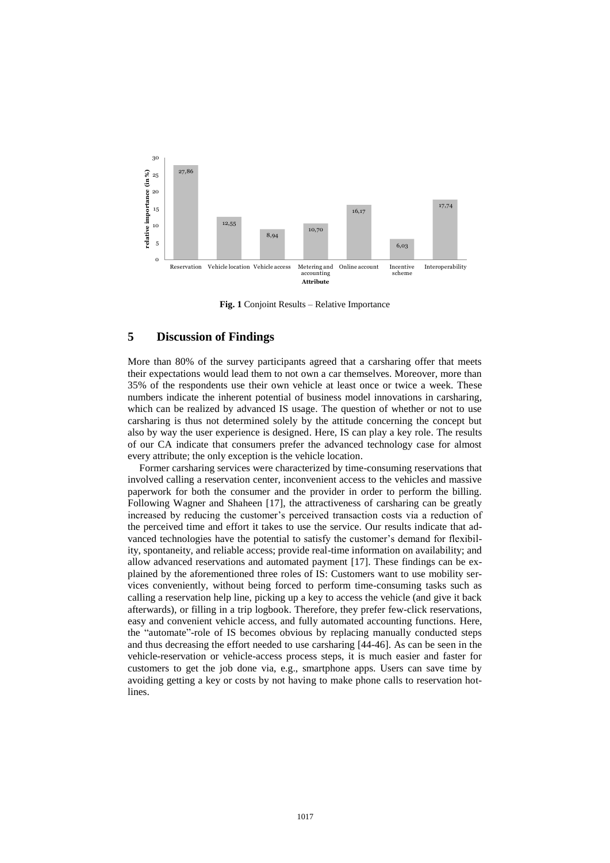

**Fig. 1** Conjoint Results – Relative Importance

## **5 Discussion of Findings**

More than 80% of the survey participants agreed that a carsharing offer that meets their expectations would lead them to not own a car themselves. Moreover, more than 35% of the respondents use their own vehicle at least once or twice a week. These numbers indicate the inherent potential of business model innovations in carsharing, which can be realized by advanced IS usage. The question of whether or not to use carsharing is thus not determined solely by the attitude concerning the concept but also by way the user experience is designed. Here, IS can play a key role. The results of our CA indicate that consumers prefer the advanced technology case for almost every attribute; the only exception is the vehicle location.

Former carsharing services were characterized by time-consuming reservations that involved calling a reservation center, inconvenient access to the vehicles and massive paperwork for both the consumer and the provider in order to perform the billing. Following Wagner and Shaheen [17], the attractiveness of carsharing can be greatly increased by reducing the customer's perceived transaction costs via a reduction of the perceived time and effort it takes to use the service. Our results indicate that advanced technologies have the potential to satisfy the customer's demand for flexibility, spontaneity, and reliable access; provide real-time information on availability; and allow advanced reservations and automated payment [17]. These findings can be explained by the aforementioned three roles of IS: Customers want to use mobility services conveniently, without being forced to perform time-consuming tasks such as calling a reservation help line, picking up a key to access the vehicle (and give it back afterwards), or filling in a trip logbook. Therefore, they prefer few-click reservations, easy and convenient vehicle access, and fully automated accounting functions. Here, the "automate"-role of IS becomes obvious by replacing manually conducted steps and thus decreasing the effort needed to use carsharing [44-46]. As can be seen in the vehicle-reservation or vehicle-access process steps, it is much easier and faster for customers to get the job done via, e.g., smartphone apps. Users can save time by avoiding getting a key or costs by not having to make phone calls to reservation hotlines.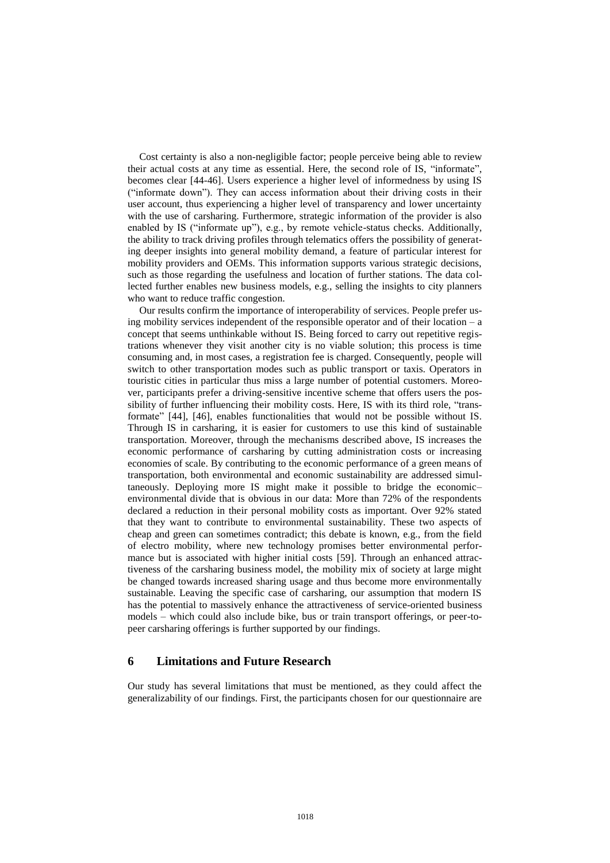Cost certainty is also a non-negligible factor; people perceive being able to review their actual costs at any time as essential. Here, the second role of IS, "informate", becomes clear [44-46]. Users experience a higher level of informedness by using IS ("informate down"). They can access information about their driving costs in their user account, thus experiencing a higher level of transparency and lower uncertainty with the use of carsharing. Furthermore, strategic information of the provider is also enabled by IS ("informate up"), e.g., by remote vehicle-status checks. Additionally, the ability to track driving profiles through telematics offers the possibility of generating deeper insights into general mobility demand, a feature of particular interest for mobility providers and OEMs. This information supports various strategic decisions, such as those regarding the usefulness and location of further stations. The data collected further enables new business models, e.g., selling the insights to city planners who want to reduce traffic congestion.

Our results confirm the importance of interoperability of services. People prefer using mobility services independent of the responsible operator and of their location – a concept that seems unthinkable without IS. Being forced to carry out repetitive registrations whenever they visit another city is no viable solution; this process is time consuming and, in most cases, a registration fee is charged. Consequently, people will switch to other transportation modes such as public transport or taxis. Operators in touristic cities in particular thus miss a large number of potential customers. Moreover, participants prefer a driving-sensitive incentive scheme that offers users the possibility of further influencing their mobility costs. Here, IS with its third role, "transformate" [44], [46], enables functionalities that would not be possible without IS. Through IS in carsharing, it is easier for customers to use this kind of sustainable transportation. Moreover, through the mechanisms described above, IS increases the economic performance of carsharing by cutting administration costs or increasing economies of scale. By contributing to the economic performance of a green means of transportation, both environmental and economic sustainability are addressed simultaneously. Deploying more IS might make it possible to bridge the economic– environmental divide that is obvious in our data: More than 72% of the respondents declared a reduction in their personal mobility costs as important. Over 92% stated that they want to contribute to environmental sustainability. These two aspects of cheap and green can sometimes contradict; this debate is known, e.g., from the field of electro mobility, where new technology promises better environmental performance but is associated with higher initial costs [59]. Through an enhanced attractiveness of the carsharing business model, the mobility mix of society at large might be changed towards increased sharing usage and thus become more environmentally sustainable. Leaving the specific case of carsharing, our assumption that modern IS has the potential to massively enhance the attractiveness of service-oriented business models – which could also include bike, bus or train transport offerings, or peer-topeer carsharing offerings is further supported by our findings.

## **6 Limitations and Future Research**

Our study has several limitations that must be mentioned, as they could affect the generalizability of our findings. First, the participants chosen for our questionnaire are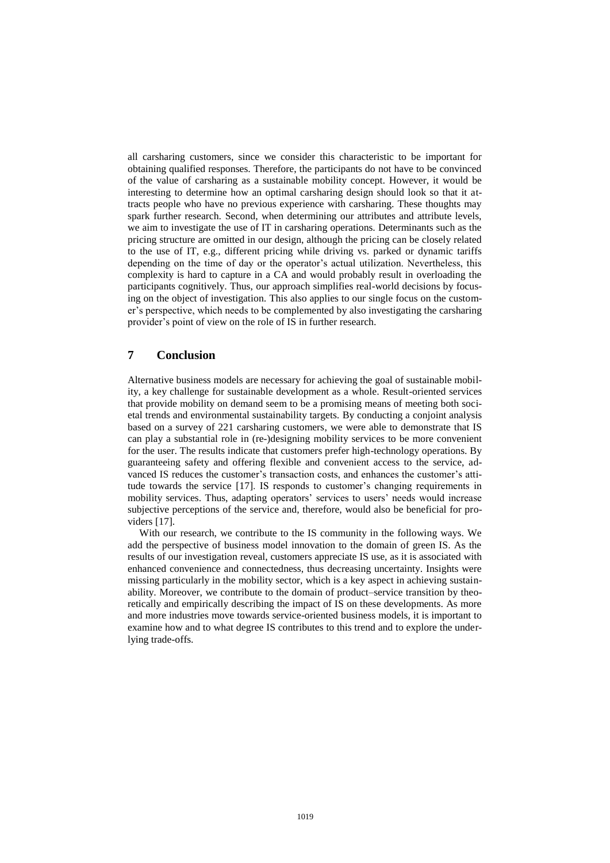all carsharing customers, since we consider this characteristic to be important for obtaining qualified responses. Therefore, the participants do not have to be convinced of the value of carsharing as a sustainable mobility concept. However, it would be interesting to determine how an optimal carsharing design should look so that it attracts people who have no previous experience with carsharing. These thoughts may spark further research. Second, when determining our attributes and attribute levels, we aim to investigate the use of IT in carsharing operations. Determinants such as the pricing structure are omitted in our design, although the pricing can be closely related to the use of IT, e.g., different pricing while driving vs. parked or dynamic tariffs depending on the time of day or the operator's actual utilization. Nevertheless, this complexity is hard to capture in a CA and would probably result in overloading the participants cognitively. Thus, our approach simplifies real-world decisions by focusing on the object of investigation. This also applies to our single focus on the customer's perspective, which needs to be complemented by also investigating the carsharing provider's point of view on the role of IS in further research.

## **7 Conclusion**

Alternative business models are necessary for achieving the goal of sustainable mobility, a key challenge for sustainable development as a whole. Result-oriented services that provide mobility on demand seem to be a promising means of meeting both societal trends and environmental sustainability targets. By conducting a conjoint analysis based on a survey of 221 carsharing customers, we were able to demonstrate that IS can play a substantial role in (re-)designing mobility services to be more convenient for the user. The results indicate that customers prefer high-technology operations. By guaranteeing safety and offering flexible and convenient access to the service, advanced IS reduces the customer's transaction costs, and enhances the customer's attitude towards the service [17]. IS responds to customer's changing requirements in mobility services. Thus, adapting operators' services to users' needs would increase subjective perceptions of the service and, therefore, would also be beneficial for providers [17].

With our research, we contribute to the IS community in the following ways. We add the perspective of business model innovation to the domain of green IS. As the results of our investigation reveal, customers appreciate IS use, as it is associated with enhanced convenience and connectedness, thus decreasing uncertainty. Insights were missing particularly in the mobility sector, which is a key aspect in achieving sustainability. Moreover, we contribute to the domain of product–service transition by theoretically and empirically describing the impact of IS on these developments. As more and more industries move towards service-oriented business models, it is important to examine how and to what degree IS contributes to this trend and to explore the underlying trade-offs.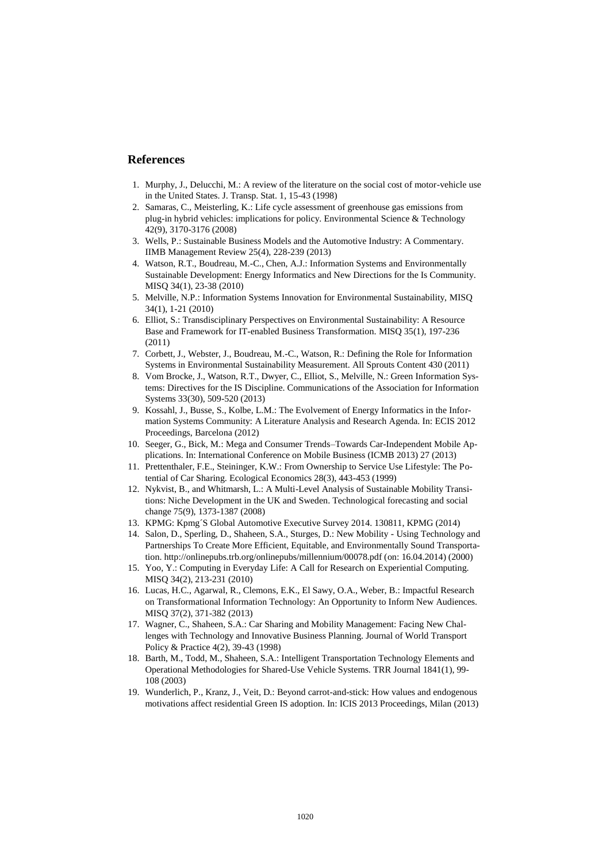## **References**

- 1. Murphy, J., Delucchi, M.: A review of the literature on the social cost of motor-vehicle use in the United States. J. Transp. Stat. 1, 15-43 (1998)
- 2. Samaras, C., Meisterling, K.: Life cycle assessment of greenhouse gas emissions from plug-in hybrid vehicles: implications for policy. Environmental Science & Technology 42(9), 3170-3176 (2008)
- 3. Wells, P.: Sustainable Business Models and the Automotive Industry: A Commentary. IIMB Management Review 25(4), 228-239 (2013)
- 4. Watson, R.T., Boudreau, M.-C., Chen, A.J.: Information Systems and Environmentally Sustainable Development: Energy Informatics and New Directions for the Is Community. MISQ 34(1), 23-38 (2010)
- 5. Melville, N.P.: Information Systems Innovation for Environmental Sustainability, MISQ 34(1), 1-21 (2010)
- 6. Elliot, S.: Transdisciplinary Perspectives on Environmental Sustainability: A Resource Base and Framework for IT-enabled Business Transformation. MISQ 35(1), 197-236 (2011)
- 7. Corbett, J., Webster, J., Boudreau, M.-C., Watson, R.: Defining the Role for Information Systems in Environmental Sustainability Measurement. All Sprouts Content 430 (2011)
- 8. Vom Brocke, J., Watson, R.T., Dwyer, C., Elliot, S., Melville, N.: Green Information Systems: Directives for the IS Discipline. Communications of the Association for Information Systems 33(30), 509-520 (2013)
- 9. Kossahl, J., Busse, S., Kolbe, L.M.: The Evolvement of Energy Informatics in the Information Systems Community: A Literature Analysis and Research Agenda. In: ECIS 2012 Proceedings, Barcelona (2012)
- 10. Seeger, G., Bick, M.: Mega and Consumer Trends–Towards Car-Independent Mobile Applications. In: International Conference on Mobile Business (ICMB 2013) 27 (2013)
- 11. Prettenthaler, F.E., Steininger, K.W.: From Ownership to Service Use Lifestyle: The Potential of Car Sharing. Ecological Economics 28(3), 443-453 (1999)
- 12. Nykvist, B., and Whitmarsh, L.: A Multi-Level Analysis of Sustainable Mobility Transitions: Niche Development in the UK and Sweden. Technological forecasting and social change 75(9), 1373-1387 (2008)
- 13. KPMG: Kpmg´S Global Automotive Executive Survey 2014. 130811, KPMG (2014)
- 14. Salon, D., Sperling, D., Shaheen, S.A., Sturges, D.: New Mobility Using Technology and Partnerships To Create More Efficient, Equitable, and Environmentally Sound Transportation. http://onlinepubs.trb.org/onlinepubs/millennium/00078.pdf (on: 16.04.2014) (2000)
- 15. Yoo, Y.: Computing in Everyday Life: A Call for Research on Experiential Computing. MISQ 34(2), 213-231 (2010)
- 16. Lucas, H.C., Agarwal, R., Clemons, E.K., El Sawy, O.A., Weber, B.: Impactful Research on Transformational Information Technology: An Opportunity to Inform New Audiences. MISQ 37(2), 371-382 (2013)
- 17. Wagner, C., Shaheen, S.A.: Car Sharing and Mobility Management: Facing New Challenges with Technology and Innovative Business Planning. Journal of World Transport Policy & Practice 4(2), 39-43 (1998)
- 18. Barth, M., Todd, M., Shaheen, S.A.: Intelligent Transportation Technology Elements and Operational Methodologies for Shared-Use Vehicle Systems. TRR Journal 1841(1), 99- 108 (2003)
- 19. Wunderlich, P., Kranz, J., Veit, D.: Beyond carrot-and-stick: How values and endogenous motivations affect residential Green IS adoption. In: ICIS 2013 Proceedings, Milan (2013)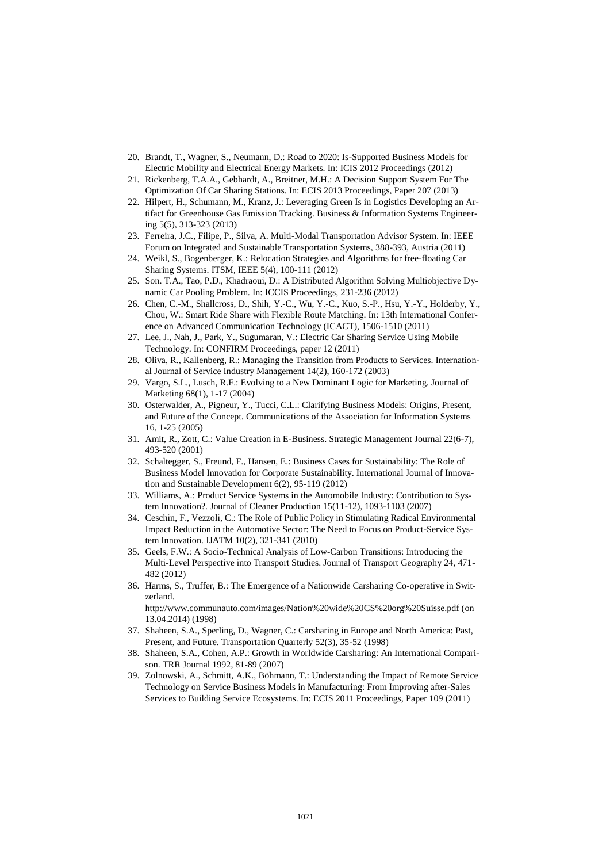- 20. Brandt, T., Wagner, S., Neumann, D.: Road to 2020: Is-Supported Business Models for Electric Mobility and Electrical Energy Markets. In: ICIS 2012 Proceedings (2012)
- 21. Rickenberg, T.A.A., Gebhardt, A., Breitner, M.H.: A Decision Support System For The Optimization Of Car Sharing Stations. In: ECIS 2013 Proceedings, Paper 207 (2013)
- 22. Hilpert, H., Schumann, M., Kranz, J.: Leveraging Green Is in Logistics Developing an Artifact for Greenhouse Gas Emission Tracking. Business & Information Systems Engineering 5(5), 313-323 (2013)
- 23. Ferreira, J.C., Filipe, P., Silva, A. Multi-Modal Transportation Advisor System. In: IEEE Forum on Integrated and Sustainable Transportation Systems, 388-393, Austria (2011)
- 24. Weikl, S., Bogenberger, K.: Relocation Strategies and Algorithms for free-floating Car Sharing Systems. ITSM, IEEE 5(4), 100-111 (2012)
- 25. Son. T.A., Tao, P.D., Khadraoui, D.: A Distributed Algorithm Solving Multiobjective Dynamic Car Pooling Problem. In: ICCIS Proceedings, 231-236 (2012)
- 26. Chen, C.-M., Shallcross, D., Shih, Y.-C., Wu, Y.-C., Kuo, S.-P., Hsu, Y.-Y., Holderby, Y., Chou, W.: Smart Ride Share with Flexible Route Matching. In: 13th International Conference on Advanced Communication Technology (ICACT), 1506-1510 (2011)
- 27. Lee, J., Nah, J., Park, Y., Sugumaran, V.: Electric Car Sharing Service Using Mobile Technology. In: CONFIRM Proceedings, paper 12 (2011)
- 28. Oliva, R., Kallenberg, R.: Managing the Transition from Products to Services. International Journal of Service Industry Management 14(2), 160-172 (2003)
- 29. Vargo, S.L., Lusch, R.F.: Evolving to a New Dominant Logic for Marketing. Journal of Marketing 68(1), 1-17 (2004)
- 30. Osterwalder, A., Pigneur, Y., Tucci, C.L.: Clarifying Business Models: Origins, Present, and Future of the Concept. Communications of the Association for Information Systems 16, 1-25 (2005)
- 31. Amit, R., Zott, C.: Value Creation in E-Business. Strategic Management Journal 22(6-7), 493-520 (2001)
- 32. Schaltegger, S., Freund, F., Hansen, E.: Business Cases for Sustainability: The Role of Business Model Innovation for Corporate Sustainability. International Journal of Innovation and Sustainable Development 6(2), 95-119 (2012)
- 33. Williams, A.: Product Service Systems in the Automobile Industry: Contribution to System Innovation?. Journal of Cleaner Production 15(11-12), 1093-1103 (2007)
- 34. Ceschin, F., Vezzoli, C.: The Role of Public Policy in Stimulating Radical Environmental Impact Reduction in the Automotive Sector: The Need to Focus on Product-Service System Innovation. IJATM 10(2), 321-341 (2010)
- 35. Geels, F.W.: A Socio-Technical Analysis of Low-Carbon Transitions: Introducing the Multi-Level Perspective into Transport Studies. Journal of Transport Geography 24, 471- 482 (2012)
- 36. Harms, S., Truffer, B.: The Emergence of a Nationwide Carsharing Co-operative in Switzerland.

http://www.communauto.com/images/Nation%20wide%20CS%20org%20Suisse.pdf (on 13.04.2014) (1998)

- 37. Shaheen, S.A., Sperling, D., Wagner, C.: Carsharing in Europe and North America: Past, Present, and Future. Transportation Quarterly 52(3), 35-52 (1998)
- 38. Shaheen, S.A., Cohen, A.P.: Growth in Worldwide Carsharing: An International Comparison. TRR Journal 1992, 81-89 (2007)
- 39. Zolnowski, A., Schmitt, A.K., Böhmann, T.: Understanding the Impact of Remote Service Technology on Service Business Models in Manufacturing: From Improving after-Sales Services to Building Service Ecosystems. In: ECIS 2011 Proceedings, Paper 109 (2011)